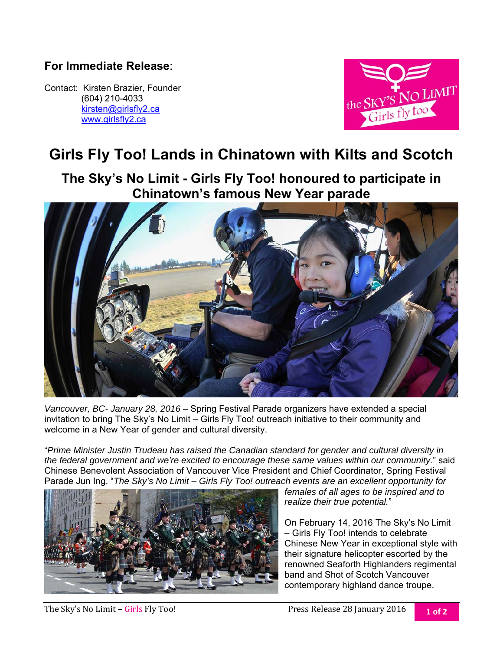## **For Immediate Release**:

Contact: Kirsten Brazier, Founder (604) 210-4033 kirsten@girlsfly2.ca www.girlsfly2.ca



## **Girls Fly Too! Lands in Chinatown with Kilts and Scotch**

**The Sky's No Limit - Girls Fly Too! honoured to participate in Chinatown's famous New Year parade** 



*Vancouver, BC- January 28, 2016 –* Spring Festival Parade organizers have extended a special invitation to bring The Sky's No Limit – Girls Fly Too! outreach initiative to their community and welcome in a New Year of gender and cultural diversity.

"*Prime Minister Justin Trudeau has raised the Canadian standard for gender and cultural diversity in the federal government and we're excited to encourage these same values within our community.*" said Chinese Benevolent Association of Vancouver Vice President and Chief Coordinator, Spring Festival Parade Jun Ing. "*The Sky's No Limit – Girls Fly Too! outreach events are an excellent opportunity for* 



*females of all ages to be inspired and to realize their true potential.*"

On February 14, 2016 The Sky's No Limit – Girls Fly Too! intends to celebrate Chinese New Year in exceptional style with their signature helicopter escorted by the renowned Seaforth Highlanders regimental band and Shot of Scotch Vancouver contemporary highland dance troupe.

The Sky's No Limit – Girls Fly Too! *not* **example 1** Press Release 28 January 2016 **1 of 2 1** Of 2